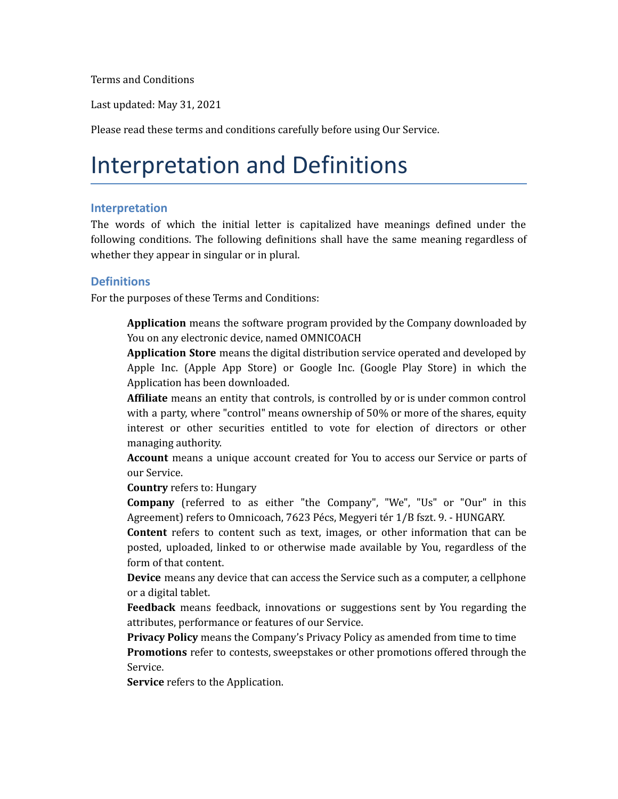Terms and Conditions

Last updated: May 31, 2021

Please read these terms and conditions carefully before using Our Service.

### Interpretation and Definitions

#### **Interpretation**

The words of which the initial letter is capitalized have meanings defined under the following conditions. The following definitions shall have the same meaning regardless of whether they appear in singular or in plural.

#### **Definitions**

For the purposes of these Terms and Conditions:

**Application** means the software program provided by the Company downloaded by You on any electronic device, named OMNICOACH

**Application Store** means the digital distribution service operated and developed by Apple Inc. (Apple App Store) or Google Inc. (Google Play Store) in which the Application has been downloaded.

**Affiliate** means an entity that controls, is controlled by or is under common control with a party, where "control" means ownership of 50% or more of the shares, equity interest or other securities entitled to vote for election of directors or other managing authority.

**Account** means a unique account created for You to access our Service or parts of our Service.

**Country** refers to: Hungary

**Company** (referred to as either "the Company", "We", "Us" or "Our" in this Agreement) refers to Omnicoach, 7623 Pécs, Megyeri tér 1/B fszt. 9. - HUNGARY.

**Content** refers to content such as text, images, or other information that can be posted, uploaded, linked to or otherwise made available by You, regardless of the form of that content.

**Device** means any device that can access the Service such as a computer, a cellphone or a digital tablet.

**Feedback** means feedback, innovations or suggestions sent by You regarding the attributes, performance or features of our Service.

**Privacy Policy** means the Company's Privacy Policy as amended from time to time **Promotions** refer to contests, sweepstakes or other promotions offered through the Service.

**Service** refers to the Application.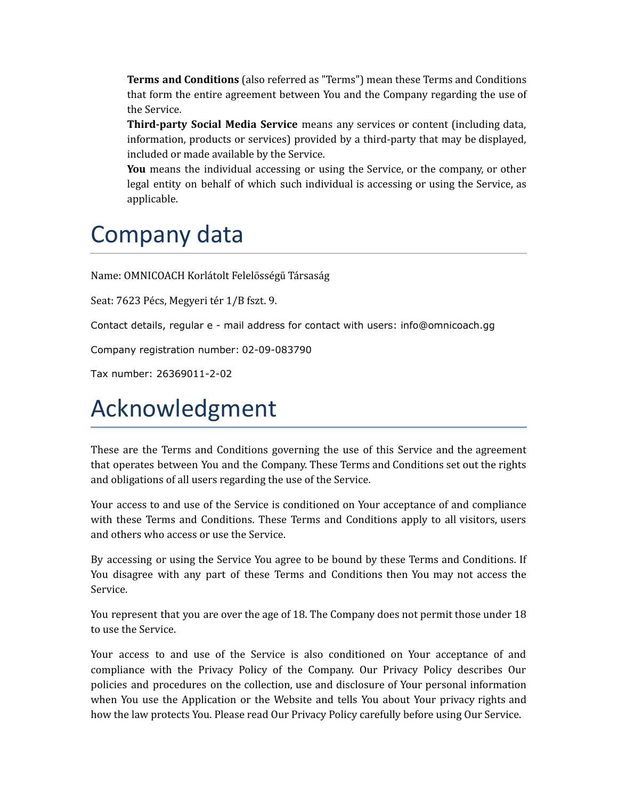**Terms and Conditions** (also referred as "Terms") mean these Terms and Conditions that form the entire agreement between You and the Company regarding the use of the Service.

**Third-party Social Media Service** means any services or content (including data, information, products or services) provided by a third-party that may be displayed, included or made available by the Service.

**You** means the individual accessing or using the Service, or the company, or other legal entity on behalf of which such individual is accessing or using the Service, as applicable.

#### Company data

Name: OMNICOACH Korlátolt Felelősségű Társaság

Seat: 7623 Pécs, Megyeri tér 1/B fszt. 9.

Contact details, regular e - mail address for contact with users: info@omnicoach.gg

Company registration number: 02-09-083790

Tax number: 26369011-2-02

### Acknowledgment

These are the Terms and Conditions governing the use of this Service and the agreement that operates between You and the Company. These Terms and Conditions set out the rights and obligations of all users regarding the use of the Service.

Your access to and use of the Service is conditioned on Your acceptance of and compliance with these Terms and Conditions. These Terms and Conditions apply to all visitors, users and others who access or use the Service.

By accessing or using the Service You agree to be bound by these Terms and Conditions. If You disagree with any part of these Terms and Conditions then You may not access the Service.

You represent that you are over the age of 18. The Company does not permit those under 18 to use the Service.

Your access to and use of the Service is also conditioned on Your acceptance of and compliance with the Privacy Policy of the Company. Our Privacy Policy describes Our policies and procedures on the collection, use and disclosure of Your personal information when You use the Application or the Website and tells You about Your privacy rights and how the law protects You. Please read Our Privacy Policy carefully before using Our Service.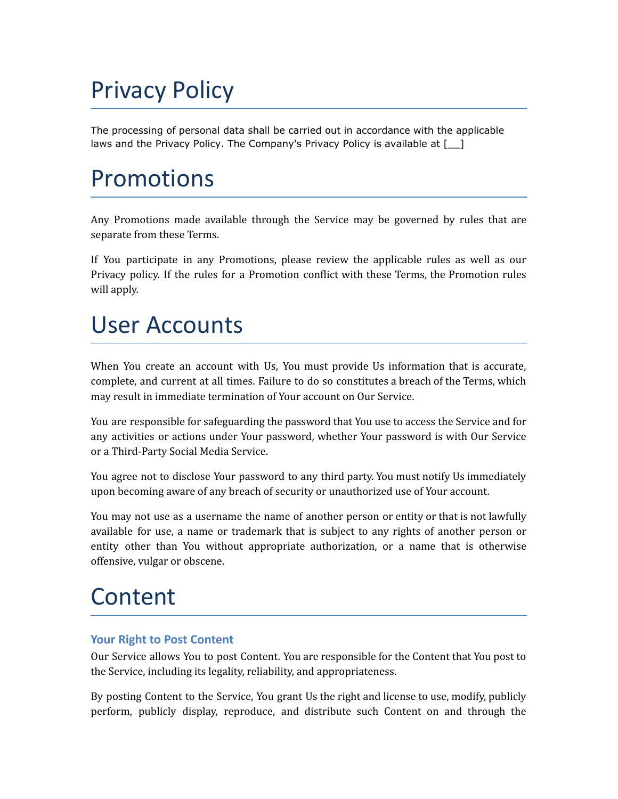# Privacy Policy

The processing of personal data shall be carried out in accordance with the applicable laws and the Privacy Policy. The Company's Privacy Policy is available at [\_\_]

### Promotions

Any Promotions made available through the Service may be governed by rules that are separate from these Terms.

If You participate in any Promotions, please review the applicable rules as well as our Privacy policy. If the rules for a Promotion conflict with these Terms, the Promotion rules will apply.

### User Accounts

When You create an account with Us, You must provide Us information that is accurate, complete, and current at all times. Failure to do so constitutes a breach of the Terms, which may result in immediate termination of Your account on Our Service.

You are responsible for safeguarding the password that You use to access the Service and for any activities or actions under Your password, whether Your password is with Our Service or a Third-Party Social Media Service.

You agree not to disclose Your password to any third party. You must notify Us immediately upon becoming aware of any breach of security or unauthorized use of Your account.

You may not use as a username the name of another person or entity or that is not lawfully available for use, a name or trademark that is subject to any rights of another person or entity other than You without appropriate authorization, or a name that is otherwise offensive, vulgar or obscene.

## Content

#### **Your Right to Post Content**

Our Service allows You to post Content. You are responsible for the Content that You post to the Service, including its legality, reliability, and appropriateness.

By posting Content to the Service, You grant Us the right and license to use, modify, publicly perform, publicly display, reproduce, and distribute such Content on and through the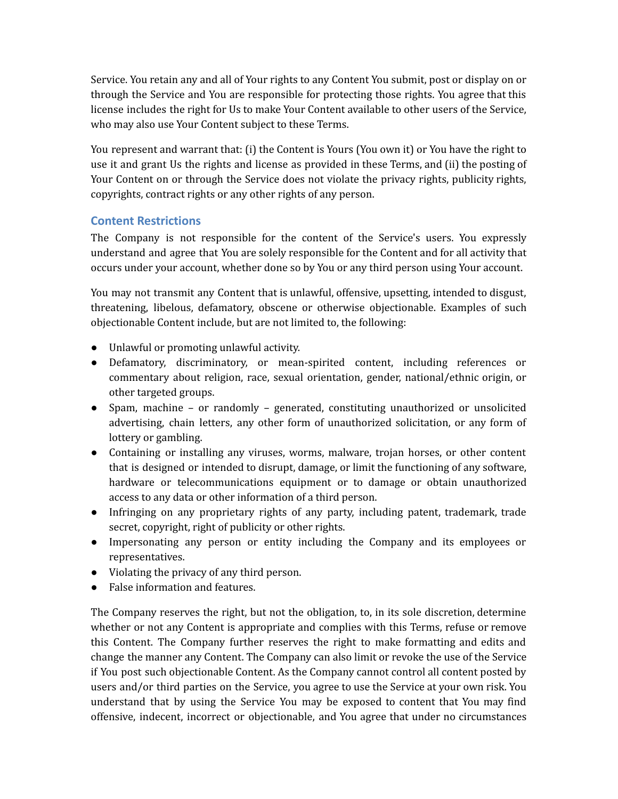Service. You retain any and all of Your rights to any Content You submit, post or display on or through the Service and You are responsible for protecting those rights. You agree that this license includes the right for Us to make Your Content available to other users of the Service, who may also use Your Content subject to these Terms.

You represent and warrant that: (i) the Content is Yours (You own it) or You have the right to use it and grant Us the rights and license as provided in these Terms, and (ii) the posting of Your Content on or through the Service does not violate the privacy rights, publicity rights, copyrights, contract rights or any other rights of any person.

#### **Content Restrictions**

The Company is not responsible for the content of the Service's users. You expressly understand and agree that You are solely responsible for the Content and for all activity that occurs under your account, whether done so by You or any third person using Your account.

You may not transmit any Content that is unlawful, offensive, upsetting, intended to disgust, threatening, libelous, defamatory, obscene or otherwise objectionable. Examples of such objectionable Content include, but are not limited to, the following:

- Unlawful or promoting unlawful activity.
- Defamatory, discriminatory, or mean-spirited content, including references or commentary about religion, race, sexual orientation, gender, national/ethnic origin, or other targeted groups.
- Spam, machine or randomly generated, constituting unauthorized or unsolicited advertising, chain letters, any other form of unauthorized solicitation, or any form of lottery or gambling.
- Containing or installing any viruses, worms, malware, trojan horses, or other content that is designed or intended to disrupt, damage, or limit the functioning of any software, hardware or telecommunications equipment or to damage or obtain unauthorized access to any data or other information of a third person.
- Infringing on any proprietary rights of any party, including patent, trademark, trade secret, copyright, right of publicity or other rights.
- Impersonating any person or entity including the Company and its employees or representatives.
- Violating the privacy of any third person.
- False information and features.

The Company reserves the right, but not the obligation, to, in its sole discretion, determine whether or not any Content is appropriate and complies with this Terms, refuse or remove this Content. The Company further reserves the right to make formatting and edits and change the manner any Content. The Company can also limit or revoke the use of the Service if You post such objectionable Content. As the Company cannot control all content posted by users and/or third parties on the Service, you agree to use the Service at your own risk. You understand that by using the Service You may be exposed to content that You may find offensive, indecent, incorrect or objectionable, and You agree that under no circumstances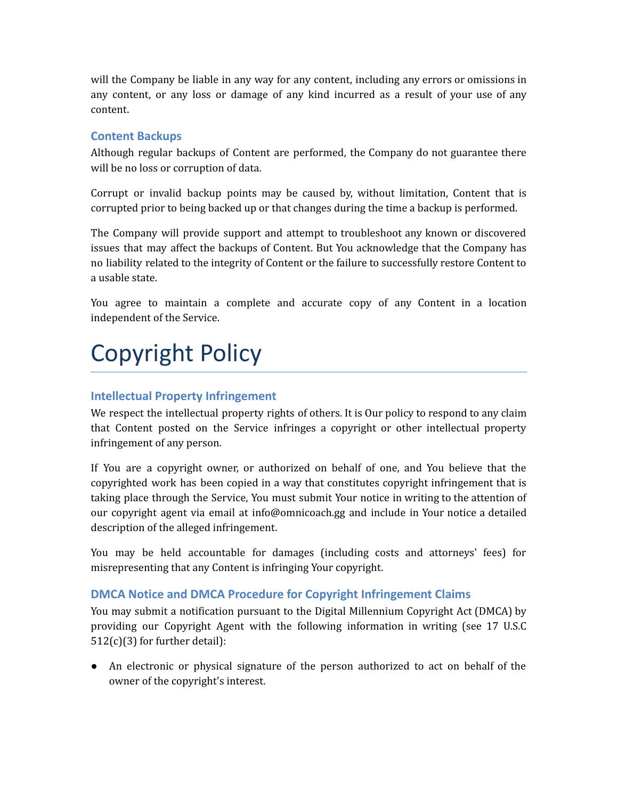will the Company be liable in any way for any content, including any errors or omissions in any content, or any loss or damage of any kind incurred as a result of your use of any content.

#### **Content Backups**

Although regular backups of Content are performed, the Company do not guarantee there will be no loss or corruption of data.

Corrupt or invalid backup points may be caused by, without limitation, Content that is corrupted prior to being backed up or that changes during the time a backup is performed.

The Company will provide support and attempt to troubleshoot any known or discovered issues that may affect the backups of Content. But You acknowledge that the Company has no liability related to the integrity of Content or the failure to successfully restore Content to a usable state.

You agree to maintain a complete and accurate copy of any Content in a location independent of the Service.

## Copyright Policy

#### **Intellectual Property Infringement**

We respect the intellectual property rights of others. It is Our policy to respond to any claim that Content posted on the Service infringes a copyright or other intellectual property infringement of any person.

If You are a copyright owner, or authorized on behalf of one, and You believe that the copyrighted work has been copied in a way that constitutes copyright infringement that is taking place through the Service, You must submit Your notice in writing to the attention of our copyright agent via email at info@omnicoach.gg and include in Your notice a detailed description of the alleged infringement.

You may be held accountable for damages (including costs and attorneys' fees) for misrepresenting that any Content is infringing Your copyright.

#### **DMCA Notice and DMCA Procedure for Copyright Infringement Claims**

You may submit a notification pursuant to the Digital Millennium Copyright Act (DMCA) by providing our Copyright Agent with the following information in writing (see 17 U.S.C 512(c)(3) for further detail):

● An electronic or physical signature of the person authorized to act on behalf of the owner of the copyright's interest.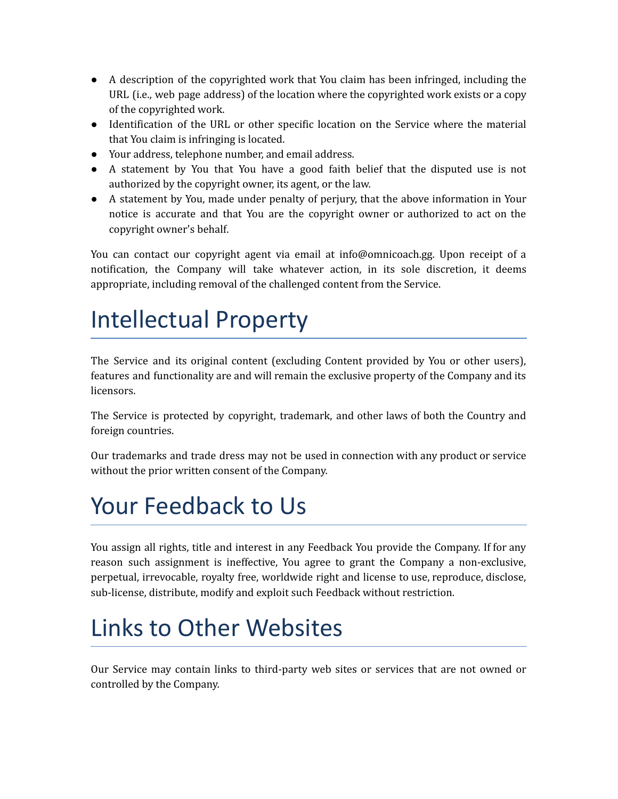- A description of the copyrighted work that You claim has been infringed, including the URL (i.e., web page address) of the location where the copyrighted work exists or a copy of the copyrighted work.
- Identification of the URL or other specific location on the Service where the material that You claim is infringing is located.
- Your address, telephone number, and email address.
- A statement by You that You have a good faith belief that the disputed use is not authorized by the copyright owner, its agent, or the law.
- A statement by You, made under penalty of perjury, that the above information in Your notice is accurate and that You are the copyright owner or authorized to act on the copyright owner's behalf.

You can contact our copyright agent via email at info@omnicoach.gg. Upon receipt of a notification, the Company will take whatever action, in its sole discretion, it deems appropriate, including removal of the challenged content from the Service.

## Intellectual Property

The Service and its original content (excluding Content provided by You or other users), features and functionality are and will remain the exclusive property of the Company and its licensors.

The Service is protected by copyright, trademark, and other laws of both the Country and foreign countries.

Our trademarks and trade dress may not be used in connection with any product or service without the prior written consent of the Company.

## Your Feedback to Us

You assign all rights, title and interest in any Feedback You provide the Company. If for any reason such assignment is ineffective, You agree to grant the Company a non-exclusive, perpetual, irrevocable, royalty free, worldwide right and license to use, reproduce, disclose, sub-license, distribute, modify and exploit such Feedback without restriction.

# Links to Other Websites

Our Service may contain links to third-party web sites or services that are not owned or controlled by the Company.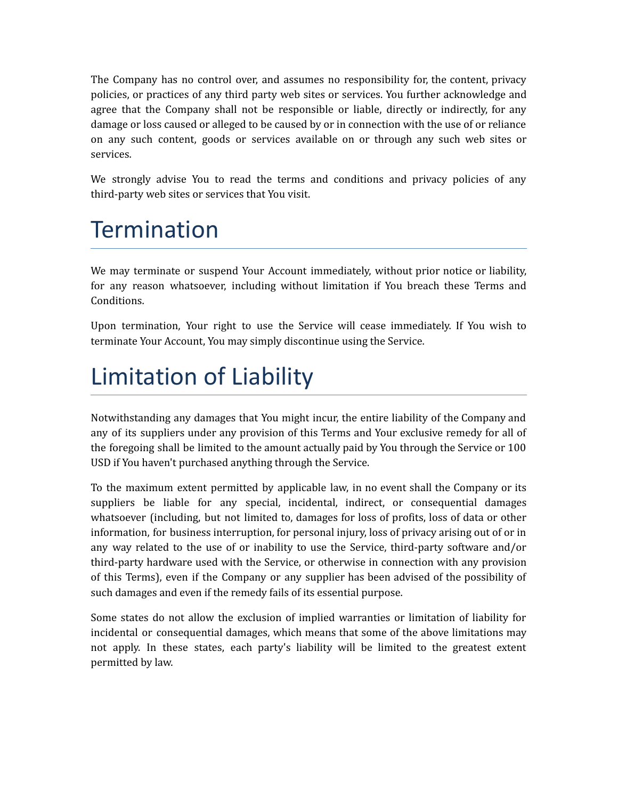The Company has no control over, and assumes no responsibility for, the content, privacy policies, or practices of any third party web sites or services. You further acknowledge and agree that the Company shall not be responsible or liable, directly or indirectly, for any damage or loss caused or alleged to be caused by or in connection with the use of or reliance on any such content, goods or services available on or through any such web sites or services.

We strongly advise You to read the terms and conditions and privacy policies of any third-party web sites or services that You visit.

## **Termination**

We may terminate or suspend Your Account immediately, without prior notice or liability, for any reason whatsoever, including without limitation if You breach these Terms and Conditions.

Upon termination, Your right to use the Service will cease immediately. If You wish to terminate Your Account, You may simply discontinue using the Service.

# Limitation of Liability

Notwithstanding any damages that You might incur, the entire liability of the Company and any of its suppliers under any provision of this Terms and Your exclusive remedy for all of the foregoing shall be limited to the amount actually paid by You through the Service or 100 USD if You haven't purchased anything through the Service.

To the maximum extent permitted by applicable law, in no event shall the Company or its suppliers be liable for any special, incidental, indirect, or consequential damages whatsoever (including, but not limited to, damages for loss of profits, loss of data or other information, for business interruption, for personal injury, loss of privacy arising out of or in any way related to the use of or inability to use the Service, third-party software and/or third-party hardware used with the Service, or otherwise in connection with any provision of this Terms), even if the Company or any supplier has been advised of the possibility of such damages and even if the remedy fails of its essential purpose.

Some states do not allow the exclusion of implied warranties or limitation of liability for incidental or consequential damages, which means that some of the above limitations may not apply. In these states, each party's liability will be limited to the greatest extent permitted by law.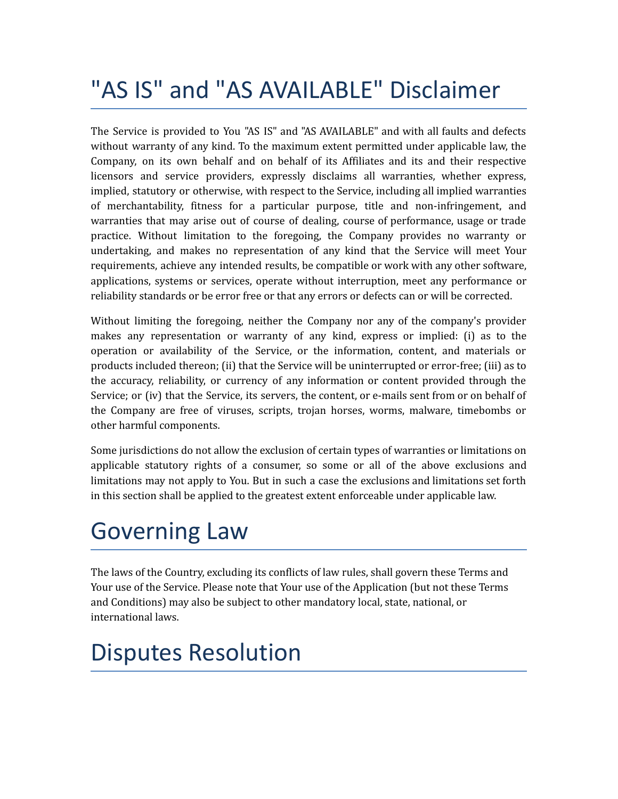## "AS IS" and "AS AVAILABLE" Disclaimer

The Service is provided to You "AS IS" and "AS AVAILABLE" and with all faults and defects without warranty of any kind. To the maximum extent permitted under applicable law, the Company, on its own behalf and on behalf of its Affiliates and its and their respective licensors and service providers, expressly disclaims all warranties, whether express, implied, statutory or otherwise, with respect to the Service, including all implied warranties of merchantability, fitness for a particular purpose, title and non-infringement, and warranties that may arise out of course of dealing, course of performance, usage or trade practice. Without limitation to the foregoing, the Company provides no warranty or undertaking, and makes no representation of any kind that the Service will meet Your requirements, achieve any intended results, be compatible or work with any other software, applications, systems or services, operate without interruption, meet any performance or reliability standards or be error free or that any errors or defects can or will be corrected.

Without limiting the foregoing, neither the Company nor any of the company's provider makes any representation or warranty of any kind, express or implied: (i) as to the operation or availability of the Service, or the information, content, and materials or products included thereon; (ii) that the Service will be uninterrupted or error-free; (iii) as to the accuracy, reliability, or currency of any information or content provided through the Service; or (iv) that the Service, its servers, the content, or e-mails sent from or on behalf of the Company are free of viruses, scripts, trojan horses, worms, malware, timebombs or other harmful components.

Some jurisdictions do not allow the exclusion of certain types of warranties or limitations on applicable statutory rights of a consumer, so some or all of the above exclusions and limitations may not apply to You. But in such a case the exclusions and limitations set forth in this section shall be applied to the greatest extent enforceable under applicable law.

### Governing Law

The laws of the Country, excluding its conflicts of law rules, shall govern these Terms and Your use of the Service. Please note that Your use of the Application (but not these Terms and Conditions) may also be subject to other mandatory local, state, national, or international laws.

### Disputes Resolution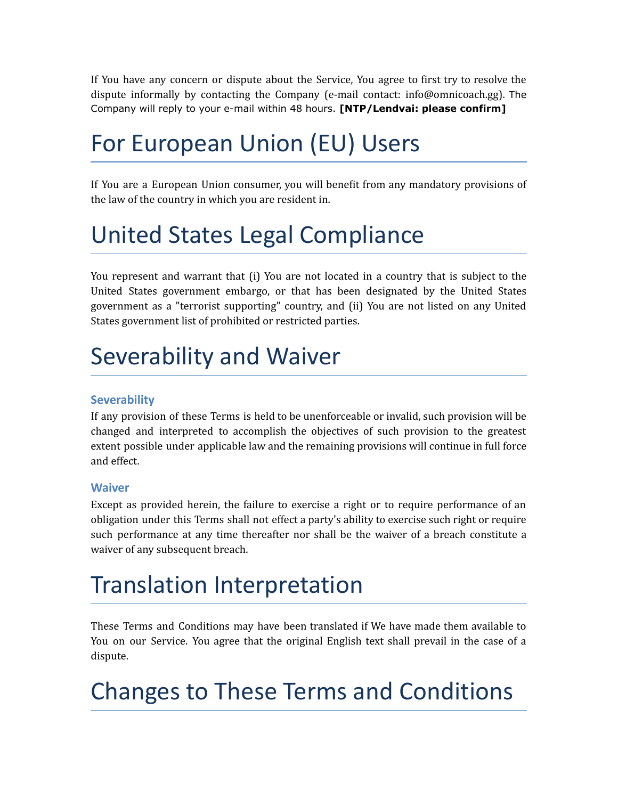If You have any concern or dispute about the Service, You agree to first try to resolve the dispute informally by contacting the Company (e-mail contact: info@omnicoach.gg). The Company will reply to your e-mail within 48 hours. **[NTP/Lendvai: please confirm]**

# For European Union (EU) Users

If You are a European Union consumer, you will benefit from any mandatory provisions of the law of the country in which you are resident in.

# United States Legal Compliance

You represent and warrant that (i) You are not located in a country that is subject to the United States government embargo, or that has been designated by the United States government as a "terrorist supporting" country, and (ii) You are not listed on any United States government list of prohibited or restricted parties.

### Severability and Waiver

#### **Severability**

If any provision of these Terms is held to be unenforceable or invalid, such provision will be changed and interpreted to accomplish the objectives of such provision to the greatest extent possible under applicable law and the remaining provisions will continue in full force and effect.

#### **Waiver**

Except as provided herein, the failure to exercise a right or to require performance of an obligation under this Terms shall not effect a party's ability to exercise such right or require such performance at any time thereafter nor shall be the waiver of a breach constitute a waiver of any subsequent breach.

## Translation Interpretation

These Terms and Conditions may have been translated if We have made them available to You on our Service. You agree that the original English text shall prevail in the case of a dispute.

### Changes to These Terms and Conditions